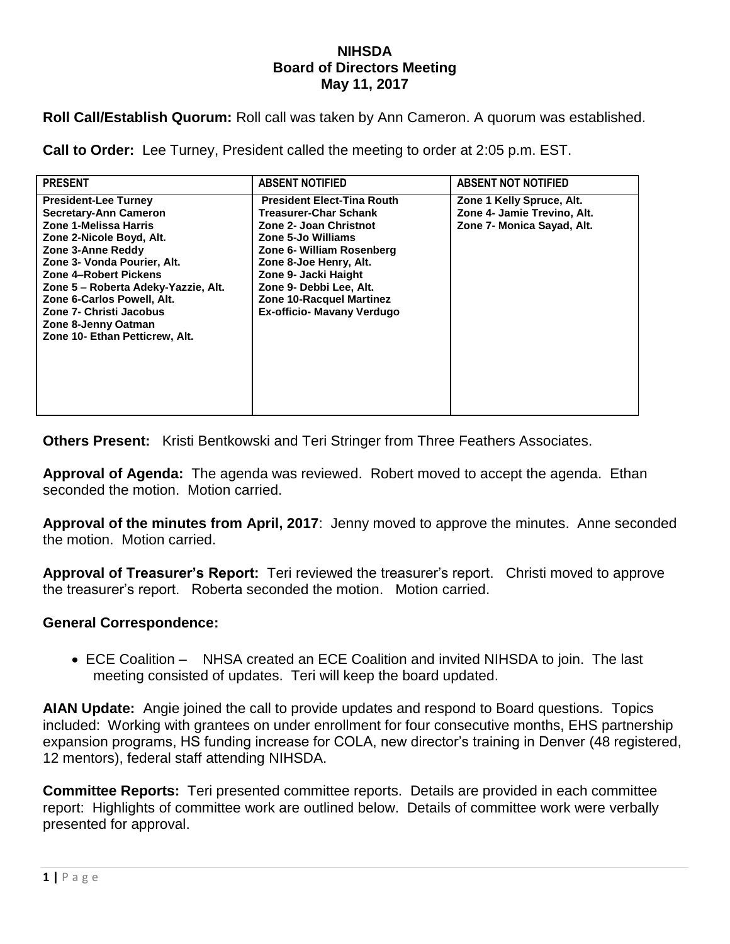## **NIHSDA Board of Directors Meeting May 11, 2017**

**Roll Call/Establish Quorum:** Roll call was taken by Ann Cameron. A quorum was established.

**Call to Order:** Lee Turney, President called the meeting to order at 2:05 p.m. EST.

| <b>PRESENT</b>                                                                                                                                                                                                                                                                                                                                  | <b>ABSENT NOTIFIED</b>                                                                                                                                                                                                                                                                       | <b>ABSENT NOT NOTIFIED</b>                                                             |
|-------------------------------------------------------------------------------------------------------------------------------------------------------------------------------------------------------------------------------------------------------------------------------------------------------------------------------------------------|----------------------------------------------------------------------------------------------------------------------------------------------------------------------------------------------------------------------------------------------------------------------------------------------|----------------------------------------------------------------------------------------|
| <b>President-Lee Turney</b><br>Secretary-Ann Cameron<br>Zone 1-Melissa Harris<br>Zone 2-Nicole Boyd, Alt.<br>Zone 3-Anne Reddy<br>Zone 3- Vonda Pourier, Alt.<br>Zone 4-Robert Pickens<br>Zone 5 – Roberta Adeky-Yazzie, Alt.<br>Zone 6-Carlos Powell, Alt.<br>Zone 7- Christi Jacobus<br>Zone 8-Jenny Oatman<br>Zone 10- Ethan Petticrew, Alt. | <b>President Elect-Tina Routh</b><br><b>Treasurer-Char Schank</b><br>Zone 2- Joan Christnot<br>Zone 5-Jo Williams<br>Zone 6- William Rosenberg<br>Zone 8-Joe Henry, Alt.<br>Zone 9- Jacki Haight<br>Zone 9- Debbi Lee, Alt.<br>Zone 10-Racquel Martinez<br><b>Ex-officio- Mavany Verdugo</b> | Zone 1 Kelly Spruce, Alt.<br>Zone 4- Jamie Trevino, Alt.<br>Zone 7- Monica Sayad, Alt. |

**Others Present:** Kristi Bentkowski and Teri Stringer from Three Feathers Associates.

**Approval of Agenda:** The agenda was reviewed. Robert moved to accept the agenda. Ethan seconded the motion. Motion carried.

**Approval of the minutes from April, 2017**: Jenny moved to approve the minutes. Anne seconded the motion. Motion carried.

**Approval of Treasurer's Report:** Teri reviewed the treasurer's report. Christi moved to approve the treasurer's report. Roberta seconded the motion. Motion carried.

## **General Correspondence:**

 ECE Coalition – NHSA created an ECE Coalition and invited NIHSDA to join. The last meeting consisted of updates. Teri will keep the board updated.

**AIAN Update:** Angie joined the call to provide updates and respond to Board questions. Topics included: Working with grantees on under enrollment for four consecutive months, EHS partnership expansion programs, HS funding increase for COLA, new director's training in Denver (48 registered, 12 mentors), federal staff attending NIHSDA.

**Committee Reports:** Teri presented committee reports. Details are provided in each committee report: Highlights of committee work are outlined below. Details of committee work were verbally presented for approval.